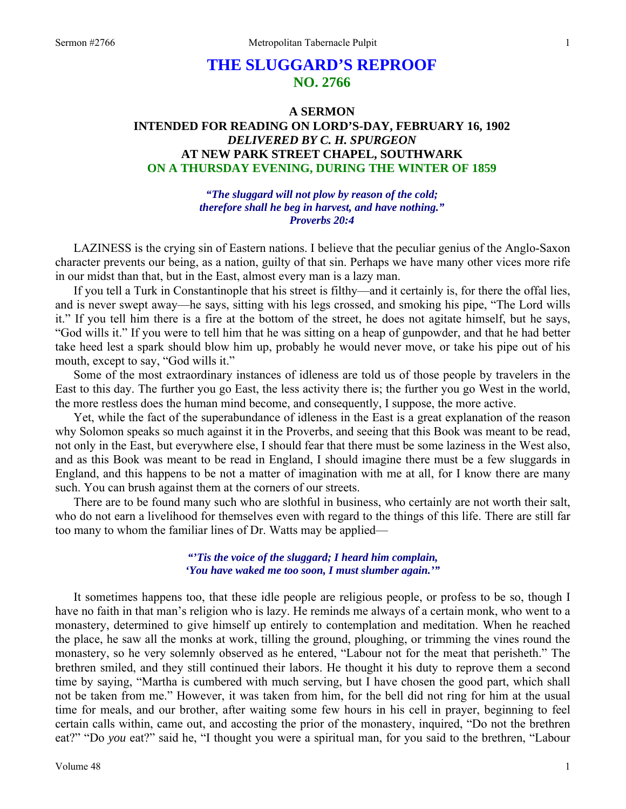# **THE SLUGGARD'S REPROOF NO. 2766**

## **A SERMON INTENDED FOR READING ON LORD'S-DAY, FEBRUARY 16, 1902**  *DELIVERED BY C. H. SPURGEON*  **AT NEW PARK STREET CHAPEL, SOUTHWARK ON A THURSDAY EVENING, DURING THE WINTER OF 1859**

*"The sluggard will not plow by reason of the cold; therefore shall he beg in harvest, and have nothing." Proverbs 20:4* 

LAZINESS is the crying sin of Eastern nations. I believe that the peculiar genius of the Anglo-Saxon character prevents our being, as a nation, guilty of that sin. Perhaps we have many other vices more rife in our midst than that, but in the East, almost every man is a lazy man.

If you tell a Turk in Constantinople that his street is filthy—and it certainly is, for there the offal lies, and is never swept away—he says, sitting with his legs crossed, and smoking his pipe, "The Lord wills it." If you tell him there is a fire at the bottom of the street, he does not agitate himself, but he says, "God wills it." If you were to tell him that he was sitting on a heap of gunpowder, and that he had better take heed lest a spark should blow him up, probably he would never move, or take his pipe out of his mouth, except to say, "God wills it."

Some of the most extraordinary instances of idleness are told us of those people by travelers in the East to this day. The further you go East, the less activity there is; the further you go West in the world, the more restless does the human mind become, and consequently, I suppose, the more active.

Yet, while the fact of the superabundance of idleness in the East is a great explanation of the reason why Solomon speaks so much against it in the Proverbs, and seeing that this Book was meant to be read, not only in the East, but everywhere else, I should fear that there must be some laziness in the West also, and as this Book was meant to be read in England, I should imagine there must be a few sluggards in England, and this happens to be not a matter of imagination with me at all, for I know there are many such. You can brush against them at the corners of our streets.

There are to be found many such who are slothful in business, who certainly are not worth their salt, who do not earn a livelihood for themselves even with regard to the things of this life. There are still far too many to whom the familiar lines of Dr. Watts may be applied—

### *"'Tis the voice of the sluggard; I heard him complain, 'You have waked me too soon, I must slumber again.'"*

It sometimes happens too, that these idle people are religious people, or profess to be so, though I have no faith in that man's religion who is lazy. He reminds me always of a certain monk, who went to a monastery, determined to give himself up entirely to contemplation and meditation. When he reached the place, he saw all the monks at work, tilling the ground, ploughing, or trimming the vines round the monastery, so he very solemnly observed as he entered, "Labour not for the meat that perisheth." The brethren smiled, and they still continued their labors. He thought it his duty to reprove them a second time by saying, "Martha is cumbered with much serving, but I have chosen the good part, which shall not be taken from me." However, it was taken from him, for the bell did not ring for him at the usual time for meals, and our brother, after waiting some few hours in his cell in prayer, beginning to feel certain calls within, came out, and accosting the prior of the monastery, inquired, "Do not the brethren eat?" "Do *you* eat?" said he, "I thought you were a spiritual man, for you said to the brethren, "Labour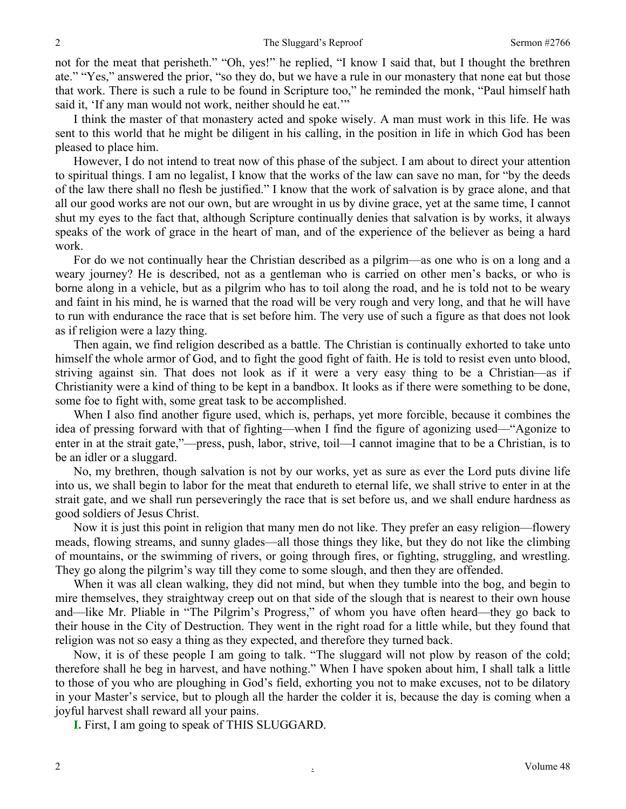not for the meat that perisheth." "Oh, yes!" he replied, "I know I said that, but I thought the brethren ate." "Yes," answered the prior, "so they do, but we have a rule in our monastery that none eat but those that work. There is such a rule to be found in Scripture too," he reminded the monk, "Paul himself hath said it, 'If any man would not work, neither should he eat.'"

I think the master of that monastery acted and spoke wisely. A man must work in this life. He was sent to this world that he might be diligent in his calling, in the position in life in which God has been pleased to place him.

However, I do not intend to treat now of this phase of the subject. I am about to direct your attention to spiritual things. I am no legalist, I know that the works of the law can save no man, for "by the deeds of the law there shall no flesh be justified." I know that the work of salvation is by grace alone, and that all our good works are not our own, but are wrought in us by divine grace, yet at the same time, I cannot shut my eyes to the fact that, although Scripture continually denies that salvation is by works, it always speaks of the work of grace in the heart of man, and of the experience of the believer as being a hard work.

For do we not continually hear the Christian described as a pilgrim—as one who is on a long and a weary journey? He is described, not as a gentleman who is carried on other men's backs, or who is borne along in a vehicle, but as a pilgrim who has to toil along the road, and he is told not to be weary and faint in his mind, he is warned that the road will be very rough and very long, and that he will have to run with endurance the race that is set before him. The very use of such a figure as that does not look as if religion were a lazy thing.

Then again, we find religion described as a battle. The Christian is continually exhorted to take unto himself the whole armor of God, and to fight the good fight of faith. He is told to resist even unto blood, striving against sin. That does not look as if it were a very easy thing to be a Christian—as if Christianity were a kind of thing to be kept in a bandbox. It looks as if there were something to be done, some foe to fight with, some great task to be accomplished.

When I also find another figure used, which is, perhaps, yet more forcible, because it combines the idea of pressing forward with that of fighting—when I find the figure of agonizing used—"Agonize to enter in at the strait gate,"—press, push, labor, strive, toil—I cannot imagine that to be a Christian, is to be an idler or a sluggard.

No, my brethren, though salvation is not by our works, yet as sure as ever the Lord puts divine life into us, we shall begin to labor for the meat that endureth to eternal life, we shall strive to enter in at the strait gate, and we shall run perseveringly the race that is set before us, and we shall endure hardness as good soldiers of Jesus Christ.

Now it is just this point in religion that many men do not like. They prefer an easy religion—flowery meads, flowing streams, and sunny glades—all those things they like, but they do not like the climbing of mountains, or the swimming of rivers, or going through fires, or fighting, struggling, and wrestling. They go along the pilgrim's way till they come to some slough, and then they are offended.

When it was all clean walking, they did not mind, but when they tumble into the bog, and begin to mire themselves, they straightway creep out on that side of the slough that is nearest to their own house and—like Mr. Pliable in "The Pilgrim's Progress," of whom you have often heard—they go back to their house in the City of Destruction. They went in the right road for a little while, but they found that religion was not so easy a thing as they expected, and therefore they turned back.

Now, it is of these people I am going to talk. "The sluggard will not plow by reason of the cold; therefore shall he beg in harvest, and have nothing." When I have spoken about him, I shall talk a little to those of you who are ploughing in God's field, exhorting you not to make excuses, not to be dilatory in your Master's service, but to plough all the harder the colder it is, because the day is coming when a joyful harvest shall reward all your pains.

**I.** First, I am going to speak of THIS SLUGGARD.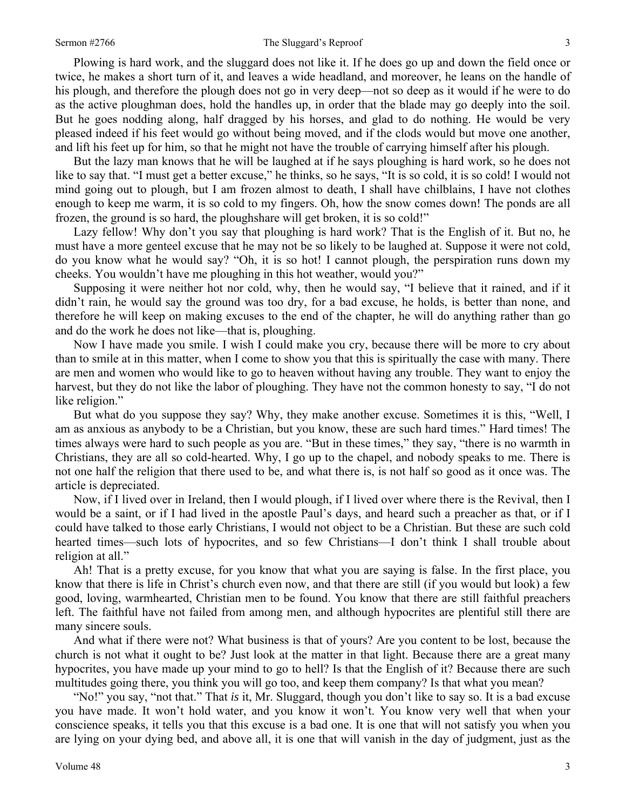### Sermon #2766 **The Sluggard's Reproof** 3

Plowing is hard work, and the sluggard does not like it. If he does go up and down the field once or twice, he makes a short turn of it, and leaves a wide headland, and moreover, he leans on the handle of his plough, and therefore the plough does not go in very deep—not so deep as it would if he were to do as the active ploughman does, hold the handles up, in order that the blade may go deeply into the soil. But he goes nodding along, half dragged by his horses, and glad to do nothing. He would be very pleased indeed if his feet would go without being moved, and if the clods would but move one another, and lift his feet up for him, so that he might not have the trouble of carrying himself after his plough.

But the lazy man knows that he will be laughed at if he says ploughing is hard work, so he does not like to say that. "I must get a better excuse," he thinks, so he says, "It is so cold, it is so cold! I would not mind going out to plough, but I am frozen almost to death, I shall have chilblains, I have not clothes enough to keep me warm, it is so cold to my fingers. Oh, how the snow comes down! The ponds are all frozen, the ground is so hard, the ploughshare will get broken, it is so cold!"

Lazy fellow! Why don't you say that ploughing is hard work? That is the English of it. But no, he must have a more genteel excuse that he may not be so likely to be laughed at. Suppose it were not cold, do you know what he would say? "Oh, it is so hot! I cannot plough, the perspiration runs down my cheeks. You wouldn't have me ploughing in this hot weather, would you?"

Supposing it were neither hot nor cold, why, then he would say, "I believe that it rained, and if it didn't rain, he would say the ground was too dry, for a bad excuse, he holds, is better than none, and therefore he will keep on making excuses to the end of the chapter, he will do anything rather than go and do the work he does not like—that is, ploughing.

Now I have made you smile. I wish I could make you cry, because there will be more to cry about than to smile at in this matter, when I come to show you that this is spiritually the case with many. There are men and women who would like to go to heaven without having any trouble. They want to enjoy the harvest, but they do not like the labor of ploughing. They have not the common honesty to say, "I do not like religion."

But what do you suppose they say? Why, they make another excuse. Sometimes it is this, "Well, I am as anxious as anybody to be a Christian, but you know, these are such hard times." Hard times! The times always were hard to such people as you are. "But in these times," they say, "there is no warmth in Christians, they are all so cold-hearted. Why, I go up to the chapel, and nobody speaks to me. There is not one half the religion that there used to be, and what there is, is not half so good as it once was. The article is depreciated.

Now, if I lived over in Ireland, then I would plough, if I lived over where there is the Revival, then I would be a saint, or if I had lived in the apostle Paul's days, and heard such a preacher as that, or if I could have talked to those early Christians, I would not object to be a Christian. But these are such cold hearted times—such lots of hypocrites, and so few Christians—I don't think I shall trouble about religion at all."

Ah! That is a pretty excuse, for you know that what you are saying is false. In the first place, you know that there is life in Christ's church even now, and that there are still (if you would but look) a few good, loving, warmhearted, Christian men to be found. You know that there are still faithful preachers left. The faithful have not failed from among men, and although hypocrites are plentiful still there are many sincere souls.

And what if there were not? What business is that of yours? Are you content to be lost, because the church is not what it ought to be? Just look at the matter in that light. Because there are a great many hypocrites, you have made up your mind to go to hell? Is that the English of it? Because there are such multitudes going there, you think you will go too, and keep them company? Is that what you mean?

"No!" you say, "not that." That *is* it, Mr. Sluggard, though you don't like to say so. It is a bad excuse you have made. It won't hold water, and you know it won't. You know very well that when your conscience speaks, it tells you that this excuse is a bad one. It is one that will not satisfy you when you are lying on your dying bed, and above all, it is one that will vanish in the day of judgment, just as the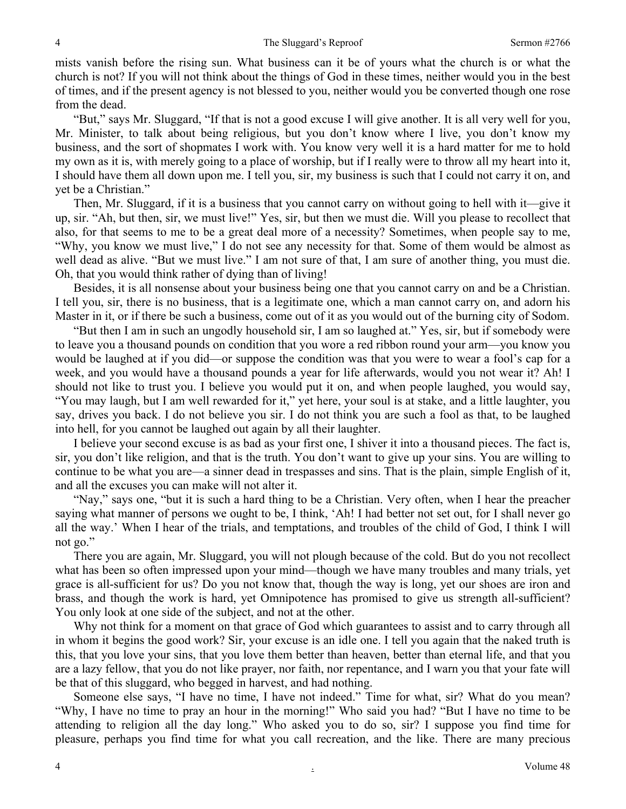mists vanish before the rising sun. What business can it be of yours what the church is or what the church is not? If you will not think about the things of God in these times, neither would you in the best of times, and if the present agency is not blessed to you, neither would you be converted though one rose from the dead.

"But," says Mr. Sluggard, "If that is not a good excuse I will give another. It is all very well for you, Mr. Minister, to talk about being religious, but you don't know where I live, you don't know my business, and the sort of shopmates I work with. You know very well it is a hard matter for me to hold my own as it is, with merely going to a place of worship, but if I really were to throw all my heart into it, I should have them all down upon me. I tell you, sir, my business is such that I could not carry it on, and yet be a Christian."

Then, Mr. Sluggard, if it is a business that you cannot carry on without going to hell with it—give it up, sir. "Ah, but then, sir, we must live!" Yes, sir, but then we must die. Will you please to recollect that also, for that seems to me to be a great deal more of a necessity? Sometimes, when people say to me, "Why, you know we must live," I do not see any necessity for that. Some of them would be almost as well dead as alive. "But we must live." I am not sure of that, I am sure of another thing, you must die. Oh, that you would think rather of dying than of living!

Besides, it is all nonsense about your business being one that you cannot carry on and be a Christian. I tell you, sir, there is no business, that is a legitimate one, which a man cannot carry on, and adorn his Master in it, or if there be such a business, come out of it as you would out of the burning city of Sodom.

"But then I am in such an ungodly household sir, I am so laughed at." Yes, sir, but if somebody were to leave you a thousand pounds on condition that you wore a red ribbon round your arm—you know you would be laughed at if you did—or suppose the condition was that you were to wear a fool's cap for a week, and you would have a thousand pounds a year for life afterwards, would you not wear it? Ah! I should not like to trust you. I believe you would put it on, and when people laughed, you would say, "You may laugh, but I am well rewarded for it," yet here, your soul is at stake, and a little laughter, you say, drives you back. I do not believe you sir. I do not think you are such a fool as that, to be laughed into hell, for you cannot be laughed out again by all their laughter.

I believe your second excuse is as bad as your first one, I shiver it into a thousand pieces. The fact is, sir, you don't like religion, and that is the truth. You don't want to give up your sins. You are willing to continue to be what you are—a sinner dead in trespasses and sins. That is the plain, simple English of it, and all the excuses you can make will not alter it.

"Nay," says one, "but it is such a hard thing to be a Christian. Very often, when I hear the preacher saying what manner of persons we ought to be, I think, 'Ah! I had better not set out, for I shall never go all the way.' When I hear of the trials, and temptations, and troubles of the child of God, I think I will not go."

There you are again, Mr. Sluggard, you will not plough because of the cold. But do you not recollect what has been so often impressed upon your mind—though we have many troubles and many trials, yet grace is all-sufficient for us? Do you not know that, though the way is long, yet our shoes are iron and brass, and though the work is hard, yet Omnipotence has promised to give us strength all-sufficient? You only look at one side of the subject, and not at the other.

Why not think for a moment on that grace of God which guarantees to assist and to carry through all in whom it begins the good work? Sir, your excuse is an idle one. I tell you again that the naked truth is this, that you love your sins, that you love them better than heaven, better than eternal life, and that you are a lazy fellow, that you do not like prayer, nor faith, nor repentance, and I warn you that your fate will be that of this sluggard, who begged in harvest, and had nothing.

Someone else says, "I have no time, I have not indeed." Time for what, sir? What do you mean? "Why, I have no time to pray an hour in the morning!" Who said you had? "But I have no time to be attending to religion all the day long." Who asked you to do so, sir? I suppose you find time for pleasure, perhaps you find time for what you call recreation, and the like. There are many precious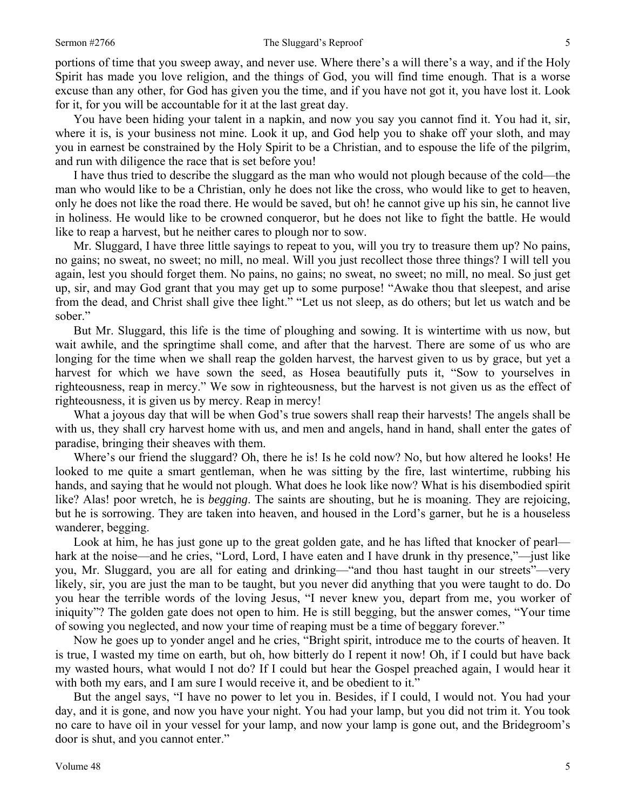### Sermon #2766 Sermon #2766 Suggard's Reproof 5

portions of time that you sweep away, and never use. Where there's a will there's a way, and if the Holy Spirit has made you love religion, and the things of God, you will find time enough. That is a worse excuse than any other, for God has given you the time, and if you have not got it, you have lost it. Look for it, for you will be accountable for it at the last great day.

You have been hiding your talent in a napkin, and now you say you cannot find it. You had it, sir, where it is, is your business not mine. Look it up, and God help you to shake off your sloth, and may you in earnest be constrained by the Holy Spirit to be a Christian, and to espouse the life of the pilgrim, and run with diligence the race that is set before you!

I have thus tried to describe the sluggard as the man who would not plough because of the cold—the man who would like to be a Christian, only he does not like the cross, who would like to get to heaven, only he does not like the road there. He would be saved, but oh! he cannot give up his sin, he cannot live in holiness. He would like to be crowned conqueror, but he does not like to fight the battle. He would like to reap a harvest, but he neither cares to plough nor to sow.

Mr. Sluggard, I have three little sayings to repeat to you, will you try to treasure them up? No pains, no gains; no sweat, no sweet; no mill, no meal. Will you just recollect those three things? I will tell you again, lest you should forget them. No pains, no gains; no sweat, no sweet; no mill, no meal. So just get up, sir, and may God grant that you may get up to some purpose! "Awake thou that sleepest, and arise from the dead, and Christ shall give thee light." "Let us not sleep, as do others; but let us watch and be sober."

But Mr. Sluggard, this life is the time of ploughing and sowing. It is wintertime with us now, but wait awhile, and the springtime shall come, and after that the harvest. There are some of us who are longing for the time when we shall reap the golden harvest, the harvest given to us by grace, but yet a harvest for which we have sown the seed, as Hosea beautifully puts it, "Sow to yourselves in righteousness, reap in mercy." We sow in righteousness, but the harvest is not given us as the effect of righteousness, it is given us by mercy. Reap in mercy!

What a joyous day that will be when God's true sowers shall reap their harvests! The angels shall be with us, they shall cry harvest home with us, and men and angels, hand in hand, shall enter the gates of paradise, bringing their sheaves with them.

Where's our friend the sluggard? Oh, there he is! Is he cold now? No, but how altered he looks! He looked to me quite a smart gentleman, when he was sitting by the fire, last wintertime, rubbing his hands, and saying that he would not plough. What does he look like now? What is his disembodied spirit like? Alas! poor wretch, he is *begging*. The saints are shouting, but he is moaning. They are rejoicing, but he is sorrowing. They are taken into heaven, and housed in the Lord's garner, but he is a houseless wanderer, begging.

Look at him, he has just gone up to the great golden gate, and he has lifted that knocker of pearl hark at the noise—and he cries, "Lord, Lord, I have eaten and I have drunk in thy presence,"—just like you, Mr. Sluggard, you are all for eating and drinking—"and thou hast taught in our streets"—very likely, sir, you are just the man to be taught, but you never did anything that you were taught to do. Do you hear the terrible words of the loving Jesus, "I never knew you, depart from me, you worker of iniquity"? The golden gate does not open to him. He is still begging, but the answer comes, "Your time of sowing you neglected, and now your time of reaping must be a time of beggary forever."

Now he goes up to yonder angel and he cries, "Bright spirit, introduce me to the courts of heaven. It is true, I wasted my time on earth, but oh, how bitterly do I repent it now! Oh, if I could but have back my wasted hours, what would I not do? If I could but hear the Gospel preached again, I would hear it with both my ears, and I am sure I would receive it, and be obedient to it."

But the angel says, "I have no power to let you in. Besides, if I could, I would not. You had your day, and it is gone, and now you have your night. You had your lamp, but you did not trim it. You took no care to have oil in your vessel for your lamp, and now your lamp is gone out, and the Bridegroom's door is shut, and you cannot enter."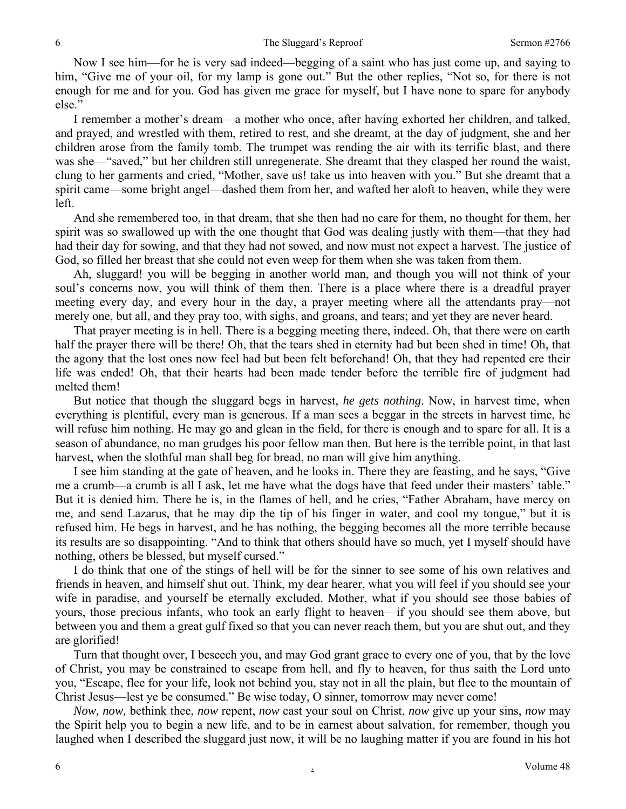Now I see him—for he is very sad indeed—begging of a saint who has just come up, and saying to him, "Give me of your oil, for my lamp is gone out." But the other replies, "Not so, for there is not enough for me and for you. God has given me grace for myself, but I have none to spare for anybody else."

I remember a mother's dream—a mother who once, after having exhorted her children, and talked, and prayed, and wrestled with them, retired to rest, and she dreamt, at the day of judgment, she and her children arose from the family tomb. The trumpet was rending the air with its terrific blast, and there was she—"saved," but her children still unregenerate. She dreamt that they clasped her round the waist, clung to her garments and cried, "Mother, save us! take us into heaven with you." But she dreamt that a spirit came—some bright angel—dashed them from her, and wafted her aloft to heaven, while they were left.

And she remembered too, in that dream, that she then had no care for them, no thought for them, her spirit was so swallowed up with the one thought that God was dealing justly with them—that they had had their day for sowing, and that they had not sowed, and now must not expect a harvest. The justice of God, so filled her breast that she could not even weep for them when she was taken from them.

Ah, sluggard! you will be begging in another world man, and though you will not think of your soul's concerns now, you will think of them then. There is a place where there is a dreadful prayer meeting every day, and every hour in the day, a prayer meeting where all the attendants pray—not merely one, but all, and they pray too, with sighs, and groans, and tears; and yet they are never heard.

That prayer meeting is in hell. There is a begging meeting there, indeed. Oh, that there were on earth half the prayer there will be there! Oh, that the tears shed in eternity had but been shed in time! Oh, that the agony that the lost ones now feel had but been felt beforehand! Oh, that they had repented ere their life was ended! Oh, that their hearts had been made tender before the terrible fire of judgment had melted them!

But notice that though the sluggard begs in harvest, *he gets nothing*. Now, in harvest time, when everything is plentiful, every man is generous. If a man sees a beggar in the streets in harvest time, he will refuse him nothing. He may go and glean in the field, for there is enough and to spare for all. It is a season of abundance, no man grudges his poor fellow man then. But here is the terrible point, in that last harvest, when the slothful man shall beg for bread, no man will give him anything.

I see him standing at the gate of heaven, and he looks in. There they are feasting, and he says, "Give me a crumb—a crumb is all I ask, let me have what the dogs have that feed under their masters' table." But it is denied him. There he is, in the flames of hell, and he cries, "Father Abraham, have mercy on me, and send Lazarus, that he may dip the tip of his finger in water, and cool my tongue," but it is refused him. He begs in harvest, and he has nothing, the begging becomes all the more terrible because its results are so disappointing. "And to think that others should have so much, yet I myself should have nothing, others be blessed, but myself cursed."

I do think that one of the stings of hell will be for the sinner to see some of his own relatives and friends in heaven, and himself shut out. Think, my dear hearer, what you will feel if you should see your wife in paradise, and yourself be eternally excluded. Mother, what if you should see those babies of yours, those precious infants, who took an early flight to heaven—if you should see them above, but between you and them a great gulf fixed so that you can never reach them, but you are shut out, and they are glorified!

Turn that thought over, I beseech you, and may God grant grace to every one of you, that by the love of Christ, you may be constrained to escape from hell, and fly to heaven, for thus saith the Lord unto you, "Escape, flee for your life, look not behind you, stay not in all the plain, but flee to the mountain of Christ Jesus—lest ye be consumed." Be wise today, O sinner, tomorrow may never come!

*Now, now,* bethink thee, *now* repent, *now* cast your soul on Christ, *now* give up your sins, *now* may the Spirit help you to begin a new life, and to be in earnest about salvation, for remember, though you laughed when I described the sluggard just now, it will be no laughing matter if you are found in his hot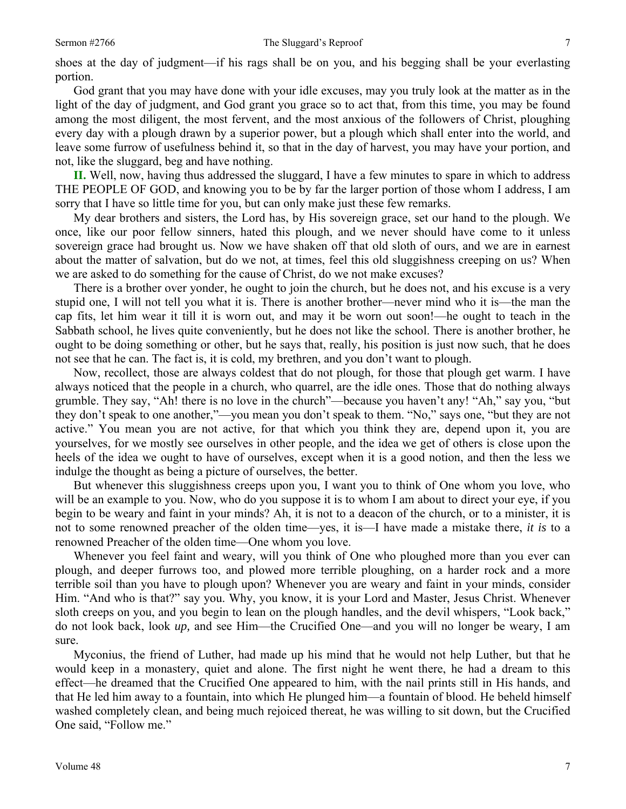shoes at the day of judgment—if his rags shall be on you, and his begging shall be your everlasting portion.

God grant that you may have done with your idle excuses, may you truly look at the matter as in the light of the day of judgment, and God grant you grace so to act that, from this time, you may be found among the most diligent, the most fervent, and the most anxious of the followers of Christ, ploughing every day with a plough drawn by a superior power, but a plough which shall enter into the world, and leave some furrow of usefulness behind it, so that in the day of harvest, you may have your portion, and not, like the sluggard, beg and have nothing.

**II.** Well, now, having thus addressed the sluggard, I have a few minutes to spare in which to address THE PEOPLE OF GOD, and knowing you to be by far the larger portion of those whom I address, I am sorry that I have so little time for you, but can only make just these few remarks.

My dear brothers and sisters, the Lord has, by His sovereign grace, set our hand to the plough. We once, like our poor fellow sinners, hated this plough, and we never should have come to it unless sovereign grace had brought us. Now we have shaken off that old sloth of ours, and we are in earnest about the matter of salvation, but do we not, at times, feel this old sluggishness creeping on us? When we are asked to do something for the cause of Christ, do we not make excuses?

There is a brother over yonder, he ought to join the church, but he does not, and his excuse is a very stupid one, I will not tell you what it is. There is another brother—never mind who it is—the man the cap fits, let him wear it till it is worn out, and may it be worn out soon!—he ought to teach in the Sabbath school, he lives quite conveniently, but he does not like the school. There is another brother, he ought to be doing something or other, but he says that, really, his position is just now such, that he does not see that he can. The fact is, it is cold, my brethren, and you don't want to plough.

Now, recollect, those are always coldest that do not plough, for those that plough get warm. I have always noticed that the people in a church, who quarrel, are the idle ones. Those that do nothing always grumble. They say, "Ah! there is no love in the church"—because you haven't any! "Ah," say you, "but they don't speak to one another,"—you mean you don't speak to them. "No," says one, "but they are not active." You mean you are not active, for that which you think they are, depend upon it, you are yourselves, for we mostly see ourselves in other people, and the idea we get of others is close upon the heels of the idea we ought to have of ourselves, except when it is a good notion, and then the less we indulge the thought as being a picture of ourselves, the better.

But whenever this sluggishness creeps upon you, I want you to think of One whom you love, who will be an example to you. Now, who do you suppose it is to whom I am about to direct your eye, if you begin to be weary and faint in your minds? Ah, it is not to a deacon of the church, or to a minister, it is not to some renowned preacher of the olden time—yes, it is—I have made a mistake there, *it is* to a renowned Preacher of the olden time—One whom you love.

Whenever you feel faint and weary, will you think of One who ploughed more than you ever can plough, and deeper furrows too, and plowed more terrible ploughing, on a harder rock and a more terrible soil than you have to plough upon? Whenever you are weary and faint in your minds, consider Him. "And who is that?" say you. Why, you know, it is your Lord and Master, Jesus Christ. Whenever sloth creeps on you, and you begin to lean on the plough handles, and the devil whispers, "Look back," do not look back, look *up,* and see Him—the Crucified One—and you will no longer be weary, I am sure.

Myconius, the friend of Luther, had made up his mind that he would not help Luther, but that he would keep in a monastery, quiet and alone. The first night he went there, he had a dream to this effect—he dreamed that the Crucified One appeared to him, with the nail prints still in His hands, and that He led him away to a fountain, into which He plunged him—a fountain of blood. He beheld himself washed completely clean, and being much rejoiced thereat, he was willing to sit down, but the Crucified One said, "Follow me."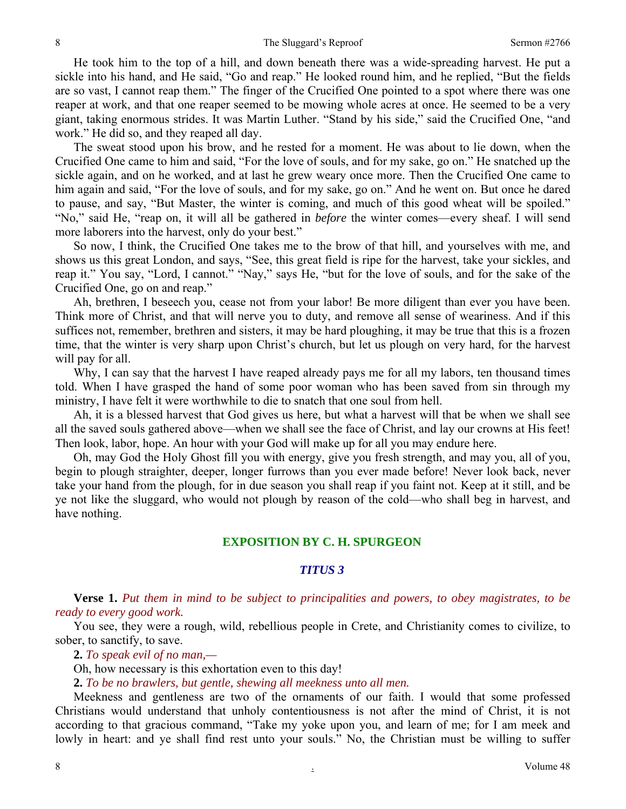He took him to the top of a hill, and down beneath there was a wide-spreading harvest. He put a sickle into his hand, and He said, "Go and reap." He looked round him, and he replied, "But the fields are so vast, I cannot reap them." The finger of the Crucified One pointed to a spot where there was one reaper at work, and that one reaper seemed to be mowing whole acres at once. He seemed to be a very giant, taking enormous strides. It was Martin Luther. "Stand by his side," said the Crucified One, "and work." He did so, and they reaped all day.

The sweat stood upon his brow, and he rested for a moment. He was about to lie down, when the Crucified One came to him and said, "For the love of souls, and for my sake, go on." He snatched up the sickle again, and on he worked, and at last he grew weary once more. Then the Crucified One came to him again and said, "For the love of souls, and for my sake, go on." And he went on. But once he dared to pause, and say, "But Master, the winter is coming, and much of this good wheat will be spoiled." "No," said He, "reap on, it will all be gathered in *before* the winter comes—every sheaf. I will send more laborers into the harvest, only do your best."

So now, I think, the Crucified One takes me to the brow of that hill, and yourselves with me, and shows us this great London, and says, "See, this great field is ripe for the harvest, take your sickles, and reap it." You say, "Lord, I cannot." "Nay," says He, "but for the love of souls, and for the sake of the Crucified One, go on and reap."

Ah, brethren, I beseech you, cease not from your labor! Be more diligent than ever you have been. Think more of Christ, and that will nerve you to duty, and remove all sense of weariness. And if this suffices not, remember, brethren and sisters, it may be hard ploughing, it may be true that this is a frozen time, that the winter is very sharp upon Christ's church, but let us plough on very hard, for the harvest will pay for all.

Why, I can say that the harvest I have reaped already pays me for all my labors, ten thousand times told. When I have grasped the hand of some poor woman who has been saved from sin through my ministry, I have felt it were worthwhile to die to snatch that one soul from hell.

Ah, it is a blessed harvest that God gives us here, but what a harvest will that be when we shall see all the saved souls gathered above—when we shall see the face of Christ, and lay our crowns at His feet! Then look, labor, hope. An hour with your God will make up for all you may endure here.

Oh, may God the Holy Ghost fill you with energy, give you fresh strength, and may you, all of you, begin to plough straighter, deeper, longer furrows than you ever made before! Never look back, never take your hand from the plough, for in due season you shall reap if you faint not. Keep at it still, and be ye not like the sluggard, who would not plough by reason of the cold—who shall beg in harvest, and have nothing.

## **EXPOSITION BY C. H. SPURGEON**

### *TITUS 3*

**Verse 1.** *Put them in mind to be subject to principalities and powers, to obey magistrates, to be ready to every good work.* 

You see, they were a rough, wild, rebellious people in Crete, and Christianity comes to civilize, to sober, to sanctify, to save.

**2.** *To speak evil of no man,—* 

Oh, how necessary is this exhortation even to this day!

**2.** *To be no brawlers, but gentle, shewing all meekness unto all men.* 

Meekness and gentleness are two of the ornaments of our faith. I would that some professed Christians would understand that unholy contentiousness is not after the mind of Christ, it is not according to that gracious command, "Take my yoke upon you, and learn of me; for I am meek and lowly in heart: and ye shall find rest unto your souls." No, the Christian must be willing to suffer